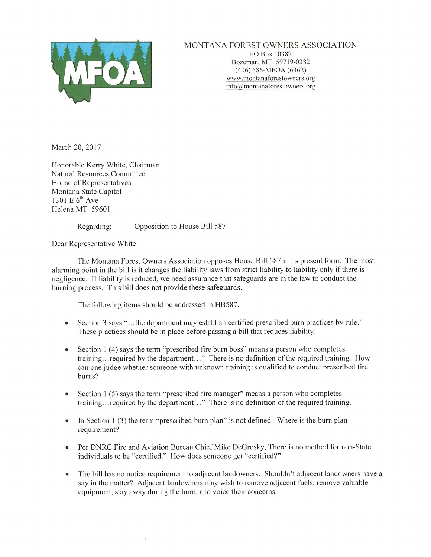

MONTANA FOREST OWNERS ASSOCIATION<br>PO Box 10382<br>Bozeman, MT 59719-0382 (406) 586-MFOA (6362) www.montanaforestowners.org  $info(\partial)$ montanaforestowners.org

March 20, 2017

Honorable Kerry White, Chairman Natural Resources Committee House of Representatives Montana State Capitol 1301 E  $6<sup>th</sup>$  Ave Helena MT 59601

Regarding: Opposition to House Bill 587

Dear Representative White:

The Montana Forest Owners Association opposes House Bill 587 in its present form. The most alarming point in the bill is it changes the liability laws from strict liability to liability only if there is negligence. If liability is reduced, we need assurance that safeguards are in the law to conduct the burning process. This bill does not provide these safeguards.

The following items should be addressed in HB587.

- Section 3 says "...the department may establish certified prescribed burn practices by rule." These practices should be in place before passing a bill that reduces liability.
- Section 1 (4) says the term "prescribed fire burn boss" means a person who completes training.., required by the department..." There is no definition of the required training. How can one judge whether someone with unknown training is qualified to conduct prescribed fire bums?
- Section 1 (5) says the term "prescribed fire manager" means a person who completes training.., required by the department..." There is no definition of the required training.
- In Section 1 (3) the term "prescribed burn plan" is not defined. Where is the burn plan requirement?
- Per DNRC Fire and Aviation Bureau Chief Mike DeGrosky, There is no method for non-State individuals to be "certified." How does someone get "certified?"
- The bill has no notice requirement to adjacent landowners. Shouldn't adjacent landowners have a say in the matter? Adjacent landowners may wish to remove adjacent fuels, remove valuable equipment, stay away during the burn, and voice their concerns.